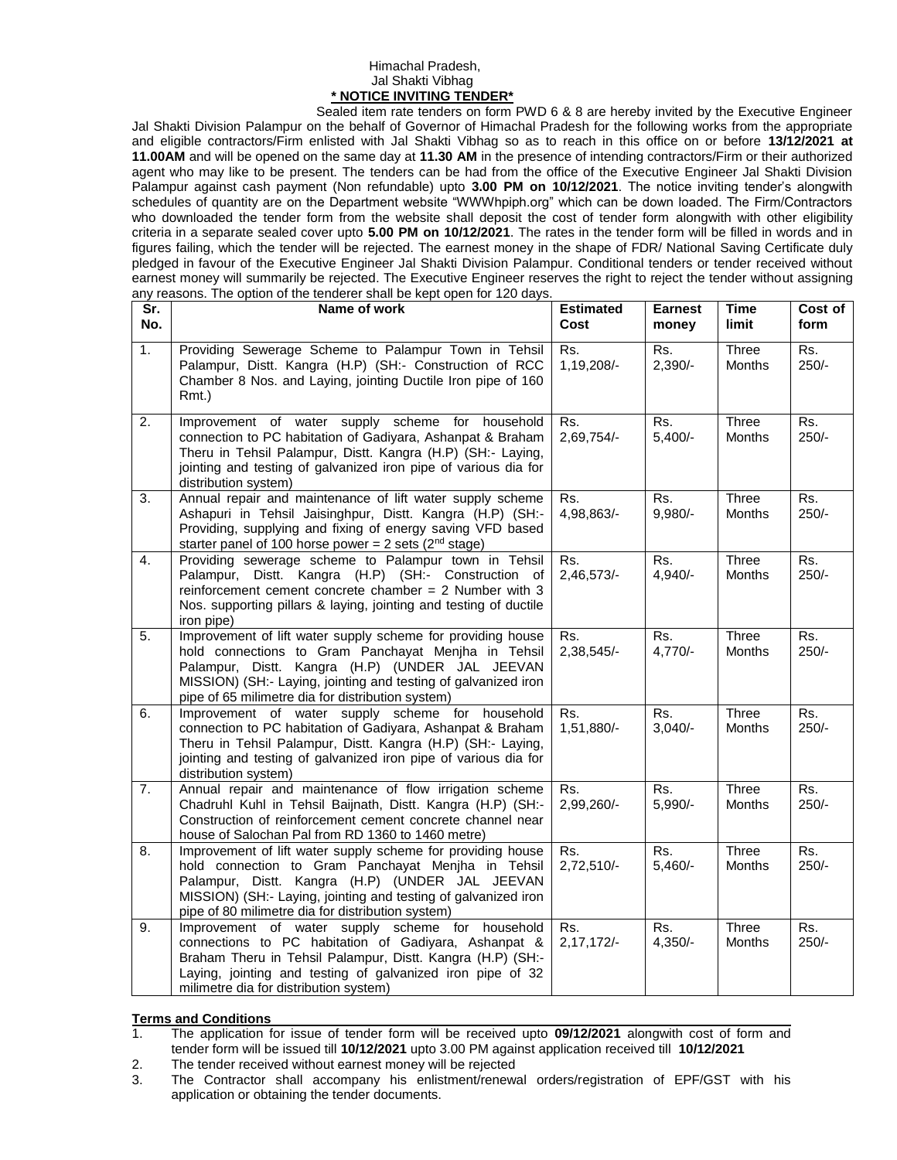## Himachal Pradesh, Jal Shakti Vibhag **\* NOTICE INVITING TENDER\***

Sealed item rate tenders on form PWD 6 & 8 are hereby invited by the Executive Engineer Jal Shakti Division Palampur on the behalf of Governor of Himachal Pradesh for the following works from the appropriate and eligible contractors/Firm enlisted with Jal Shakti Vibhag so as to reach in this office on or before **13/12/2021 at 11.00AM** and will be opened on the same day at **11.30 AM** in the presence of intending contractors/Firm or their authorized agent who may like to be present. The tenders can be had from the office of the Executive Engineer Jal Shakti Division Palampur against cash payment (Non refundable) upto **3.00 PM on 10/12/2021**. The notice inviting tender's alongwith schedules of quantity are on the Department website "WWWhpiph.org" which can be down loaded. The Firm/Contractors who downloaded the tender form from the website shall deposit the cost of tender form alongwith with other eligibility criteria in a separate sealed cover upto **5.00 PM on 10/12/2021**. The rates in the tender form will be filled in words and in figures failing, which the tender will be rejected. The earnest money in the shape of FDR/ National Saving Certificate duly pledged in favour of the Executive Engineer Jal Shakti Division Palampur. Conditional tenders or tender received without earnest money will summarily be rejected. The Executive Engineer reserves the right to reject the tender without assigning any reasons. The option of the tenderer shall be kept open for 120 days.

| Sr.              | any reasons. The option or the tenderer shall be kept open for TZ0 days.<br>Name of work                                                                                                                                                                                                     | <b>Estimated</b>    | <b>Earnest</b>   | <b>Time</b>            | Cost of        |
|------------------|----------------------------------------------------------------------------------------------------------------------------------------------------------------------------------------------------------------------------------------------------------------------------------------------|---------------------|------------------|------------------------|----------------|
| No.              |                                                                                                                                                                                                                                                                                              | Cost                | money            | limit                  | form           |
| 1.               | Providing Sewerage Scheme to Palampur Town in Tehsil<br>Palampur, Distt. Kangra (H.P) (SH:- Construction of RCC<br>Chamber 8 Nos. and Laying, jointing Ductile Iron pipe of 160<br>Rmt.)                                                                                                     | Rs.<br>1,19,208/-   | Rs.<br>$2,390/-$ | Three<br>Months        | Rs.<br>$250/-$ |
| $\overline{2}$ . | Improvement of water supply scheme for household<br>connection to PC habitation of Gadiyara, Ashanpat & Braham<br>Theru in Tehsil Palampur, Distt. Kangra (H.P) (SH:- Laying,<br>jointing and testing of galvanized iron pipe of various dia for<br>distribution system)                     | Rs.<br>2,69,754/-   | Rs.<br>$5,400/-$ | Three<br>Months        | Rs.<br>$250/-$ |
| 3.               | Annual repair and maintenance of lift water supply scheme<br>Ashapuri in Tehsil Jaisinghpur, Distt. Kangra (H.P) (SH:-<br>Providing, supplying and fixing of energy saving VFD based<br>starter panel of 100 horse power = $2$ sets ( $2nd$ stage)                                           | Rs.<br>4,98,863/-   | Rs.<br>9,980/-   | Three<br>Months        | Rs.<br>$250/-$ |
| 4.               | Providing sewerage scheme to Palampur town in Tehsil<br>Palampur, Distt. Kangra (H.P) (SH:- Construction of<br>reinforcement cement concrete chamber = $2$ Number with 3<br>Nos. supporting pillars & laying, jointing and testing of ductile<br>iron pipe)                                  | Rs.<br>2,46,573/-   | Rs.<br>$4,940/-$ | Three<br>Months        | Rs.<br>$250/-$ |
| 5.               | Improvement of lift water supply scheme for providing house<br>hold connections to Gram Panchayat Menjha in Tehsil<br>Palampur, Distt. Kangra (H.P) (UNDER JAL JEEVAN<br>MISSION) (SH:- Laying, jointing and testing of galvanized iron<br>pipe of 65 milimetre dia for distribution system) | Rs.<br>2,38,545/-   | Rs.<br>$4,770/-$ | Three<br>Months        | Rs.<br>$250/-$ |
| 6.               | Improvement of water supply scheme for household<br>connection to PC habitation of Gadiyara, Ashanpat & Braham<br>Theru in Tehsil Palampur, Distt. Kangra (H.P) (SH:- Laying,<br>jointing and testing of galvanized iron pipe of various dia for<br>distribution system)                     | Rs.<br>1,51,880/-   | Rs.<br>$3,040/-$ | Three<br>Months        | Rs.<br>$250/-$ |
| 7.               | Annual repair and maintenance of flow irrigation scheme<br>Chadruhl Kuhl in Tehsil Baijnath, Distt. Kangra (H.P) (SH:-<br>Construction of reinforcement cement concrete channel near<br>house of Salochan Pal from RD 1360 to 1460 metre)                                                    | Rs.<br>2,99,260/-   | Rs.<br>$5,990/-$ | Three<br>Months        | Rs.<br>$250/-$ |
| 8.               | Improvement of lift water supply scheme for providing house<br>hold connection to Gram Panchayat Menjha in Tehsil<br>Palampur, Distt. Kangra (H.P) (UNDER JAL JEEVAN<br>MISSION) (SH:- Laying, jointing and testing of galvanized iron<br>pipe of 80 milimetre dia for distribution system)  | Rs.<br>2,72,510/-   | Rs.<br>$5,460/-$ | Three<br><b>Months</b> | Rs.<br>$250/-$ |
| 9.               | Improvement of water supply scheme for household<br>connections to PC habitation of Gadiyara, Ashanpat &<br>Braham Theru in Tehsil Palampur, Distt. Kangra (H.P) (SH:-<br>Laying, jointing and testing of galvanized iron pipe of 32<br>milimetre dia for distribution system)               | Rs.<br>$2,17,172/-$ | Rs.<br>$4,350/-$ | Three<br>Months        | Rs.<br>$250/-$ |

## **Terms and Conditions**<br>1. The application for

- 1. The application for issue of tender form will be received upto **09/12/2021** alongwith cost of form and tender form will be issued till **10/12/2021** upto 3.00 PM against application received till **10/12/2021**
- 2. The tender received without earnest money will be rejected
- 3. The Contractor shall accompany his enlistment/renewal orders/registration of EPF/GST with his application or obtaining the tender documents.